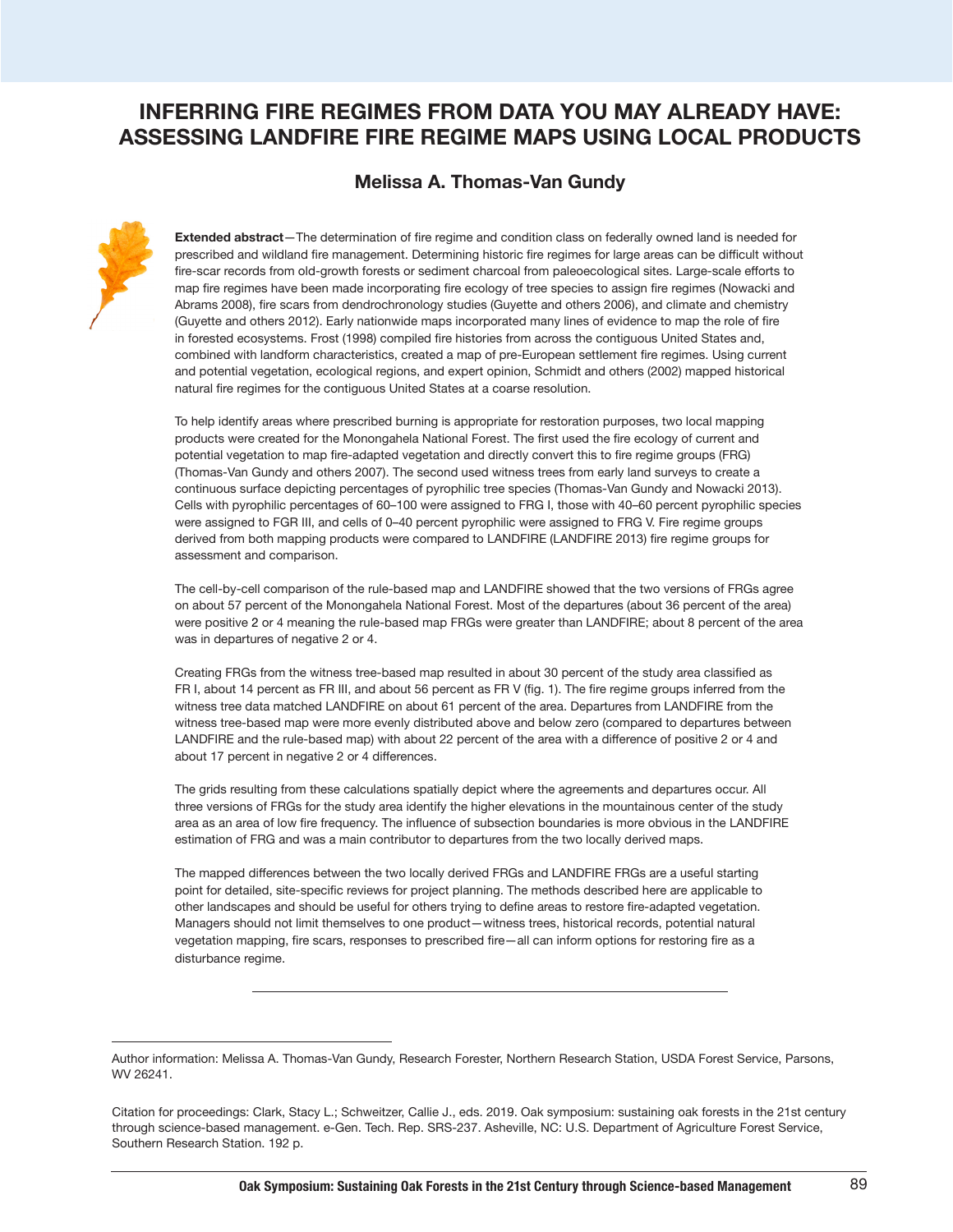## **INFERRING FIRE REGIMES FROM DATA YOU MAY ALREADY HAVE: ASSESSING LANDFIRE FIRE REGIME MAPS USING LOCAL PRODUCTS**

## **Melissa A. Thomas-Van Gundy**



**Extended abstract**—The determination of fire regime and condition class on federally owned land is needed for prescribed and wildland fire management. Determining historic fire regimes for large areas can be difficult without fire-scar records from old-growth forests or sediment charcoal from paleoecological sites. Large-scale efforts to map fire regimes have been made incorporating fire ecology of tree species to assign fire regimes (Nowacki and Abrams 2008), fire scars from dendrochronology studies (Guyette and others 2006), and climate and chemistry (Guyette and others 2012). Early nationwide maps incorporated many lines of evidence to map the role of fire in forested ecosystems. Frost (1998) compiled fire histories from across the contiguous United States and, combined with landform characteristics, created a map of pre-European settlement fire regimes. Using current and potential vegetation, ecological regions, and expert opinion, Schmidt and others (2002) mapped historical natural fire regimes for the contiguous United States at a coarse resolution.

To help identify areas where prescribed burning is appropriate for restoration purposes, two local mapping products were created for the Monongahela National Forest. The first used the fire ecology of current and potential vegetation to map fire-adapted vegetation and directly convert this to fire regime groups (FRG) (Thomas-Van Gundy and others 2007). The second used witness trees from early land surveys to create a continuous surface depicting percentages of pyrophilic tree species (Thomas-Van Gundy and Nowacki 2013). Cells with pyrophilic percentages of 60–100 were assigned to FRG I, those with 40–60 percent pyrophilic species were assigned to FGR III, and cells of 0–40 percent pyrophilic were assigned to FRG V. Fire regime groups derived from both mapping products were compared to LANDFIRE (LANDFIRE 2013) fire regime groups for assessment and comparison.

The cell-by-cell comparison of the rule-based map and LANDFIRE showed that the two versions of FRGs agree on about 57 percent of the Monongahela National Forest. Most of the departures (about 36 percent of the area) were positive 2 or 4 meaning the rule-based map FRGs were greater than LANDFIRE; about 8 percent of the area was in departures of negative 2 or 4.

Creating FRGs from the witness tree-based map resulted in about 30 percent of the study area classified as FR I, about 14 percent as FR III, and about 56 percent as FR V (fig. 1). The fire regime groups inferred from the witness tree data matched LANDFIRE on about 61 percent of the area. Departures from LANDFIRE from the witness tree-based map were more evenly distributed above and below zero (compared to departures between LANDFIRE and the rule-based map) with about 22 percent of the area with a difference of positive 2 or 4 and about 17 percent in negative 2 or 4 differences.

The grids resulting from these calculations spatially depict where the agreements and departures occur. All three versions of FRGs for the study area identify the higher elevations in the mountainous center of the study area as an area of low fire frequency. The influence of subsection boundaries is more obvious in the LANDFIRE estimation of FRG and was a main contributor to departures from the two locally derived maps.

The mapped differences between the two locally derived FRGs and LANDFIRE FRGs are a useful starting point for detailed, site-specific reviews for project planning. The methods described here are applicable to other landscapes and should be useful for others trying to define areas to restore fire-adapted vegetation. Managers should not limit themselves to one product—witness trees, historical records, potential natural vegetation mapping, fire scars, responses to prescribed fire—all can inform options for restoring fire as a disturbance regime.

Author information: Melissa A. Thomas-Van Gundy, Research Forester, Northern Research Station, USDA Forest Service, Parsons, WV 26241.

Citation for proceedings: Clark, Stacy L.; Schweitzer, Callie J., eds. 2019. Oak symposium: sustaining oak forests in the 21st century through science-based management. e-Gen. Tech. Rep. SRS-237. Asheville, NC: U.S. Department of Agriculture Forest Service, Southern Research Station. 192 p.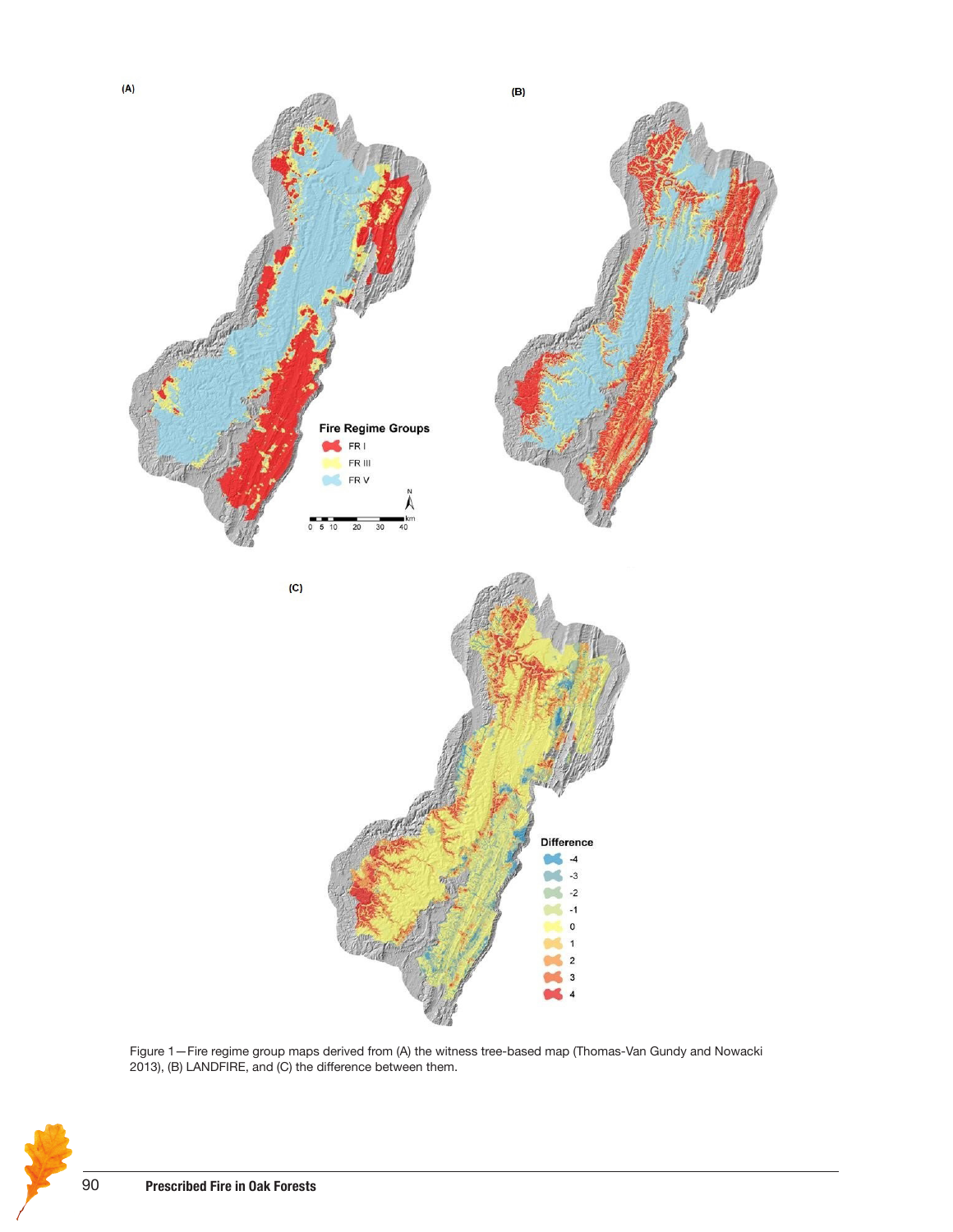

Figure 1—Fire regime group maps derived from (A) the witness tree-based map (Thomas-Van Gundy and Nowacki 2013), (B) LANDFIRE, and (C) the difference between them.